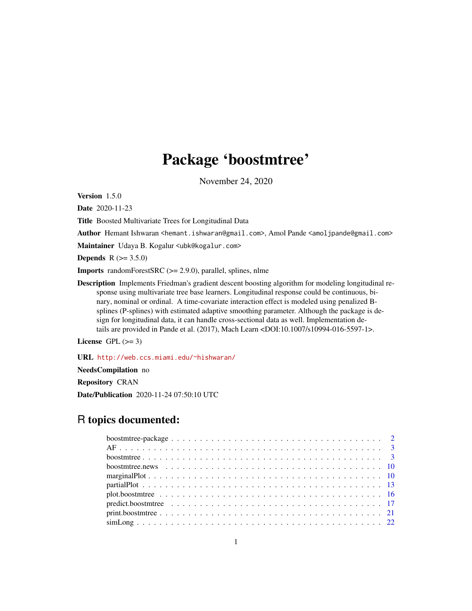# Package 'boostmtree'

November 24, 2020

Version 1.5.0

Date 2020-11-23

Title Boosted Multivariate Trees for Longitudinal Data

Author Hemant Ishwaran <hemant.ishwaran@gmail.com>, Amol Pande <amoljpande@gmail.com>

Maintainer Udaya B. Kogalur <ubk@kogalur.com>

**Depends** R  $(>= 3.5.0)$ 

Imports randomForestSRC (>= 2.9.0), parallel, splines, nlme

Description Implements Friedman's gradient descent boosting algorithm for modeling longitudinal response using multivariate tree base learners. Longitudinal response could be continuous, binary, nominal or ordinal. A time-covariate interaction effect is modeled using penalized Bsplines (P-splines) with estimated adaptive smoothing parameter. Although the package is design for longitudinal data, it can handle cross-sectional data as well. Implementation details are provided in Pande et al. (2017), Mach Learn <DOI:10.1007/s10994-016-5597-1>.

License GPL  $(>= 3)$ 

URL <http://web.ccs.miami.edu/~hishwaran/>

NeedsCompilation no

Repository CRAN

Date/Publication 2020-11-24 07:50:10 UTC

# R topics documented: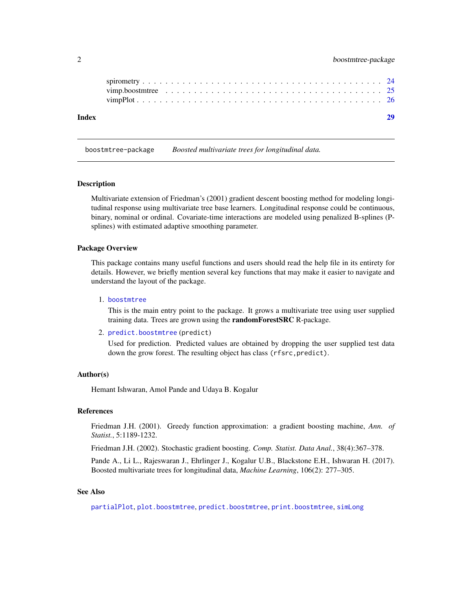<span id="page-1-0"></span>

| Index |  |  |  |  |  |  |  |  |  |  |  |  |  |  |  |  |
|-------|--|--|--|--|--|--|--|--|--|--|--|--|--|--|--|--|
|       |  |  |  |  |  |  |  |  |  |  |  |  |  |  |  |  |
|       |  |  |  |  |  |  |  |  |  |  |  |  |  |  |  |  |
|       |  |  |  |  |  |  |  |  |  |  |  |  |  |  |  |  |

boostmtree-package *Boosted multivariate trees for longitudinal data.*

#### **Description**

Multivariate extension of Friedman's (2001) gradient descent boosting method for modeling longitudinal response using multivariate tree base learners. Longitudinal response could be continuous, binary, nominal or ordinal. Covariate-time interactions are modeled using penalized B-splines (Psplines) with estimated adaptive smoothing parameter.

# Package Overview

This package contains many useful functions and users should read the help file in its entirety for details. However, we briefly mention several key functions that may make it easier to navigate and understand the layout of the package.

#### 1. [boostmtree](#page-2-1)

This is the main entry point to the package. It grows a multivariate tree using user supplied training data. Trees are grown using the randomForestSRC R-package.

2. [predict.boostmtree](#page-16-1) (predict)

Used for prediction. Predicted values are obtained by dropping the user supplied test data down the grow forest. The resulting object has class (rfsrc, predict).

#### Author(s)

Hemant Ishwaran, Amol Pande and Udaya B. Kogalur

#### References

Friedman J.H. (2001). Greedy function approximation: a gradient boosting machine, *Ann. of Statist.*, 5:1189-1232.

Friedman J.H. (2002). Stochastic gradient boosting. *Comp. Statist. Data Anal.*, 38(4):367–378.

Pande A., Li L., Rajeswaran J., Ehrlinger J., Kogalur U.B., Blackstone E.H., Ishwaran H. (2017). Boosted multivariate trees for longitudinal data, *Machine Learning*, 106(2): 277–305.

# See Also

[partialPlot](#page-12-1), [plot.boostmtree](#page-15-1), [predict.boostmtree](#page-16-1), [print.boostmtree](#page-20-1), [simLong](#page-21-1)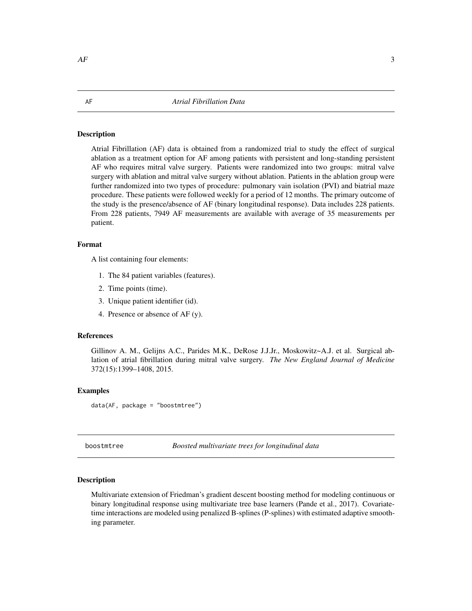#### <span id="page-2-0"></span>Description

Atrial Fibrillation (AF) data is obtained from a randomized trial to study the effect of surgical ablation as a treatment option for AF among patients with persistent and long-standing persistent AF who requires mitral valve surgery. Patients were randomized into two groups: mitral valve surgery with ablation and mitral valve surgery without ablation. Patients in the ablation group were further randomized into two types of procedure: pulmonary vain isolation (PVI) and biatrial maze procedure. These patients were followed weekly for a period of 12 months. The primary outcome of the study is the presence/absence of AF (binary longitudinal response). Data includes 228 patients. From 228 patients, 7949 AF measurements are available with average of 35 measurements per patient.

# Format

A list containing four elements:

- 1. The 84 patient variables (features).
- 2. Time points (time).
- 3. Unique patient identifier (id).
- 4. Presence or absence of AF (y).

# References

Gillinov A. M., Gelijns A.C., Parides M.K., DeRose J.J.Jr., Moskowitz~A.J. et al. Surgical ablation of atrial fibrillation during mitral valve surgery. *The New England Journal of Medicine* 372(15):1399–1408, 2015.

# Examples

data(AF, package = "boostmtree")

<span id="page-2-1"></span>boostmtree *Boosted multivariate trees for longitudinal data*

#### Description

Multivariate extension of Friedman's gradient descent boosting method for modeling continuous or binary longitudinal response using multivariate tree base learners (Pande et al., 2017). Covariatetime interactions are modeled using penalized B-splines (P-splines) with estimated adaptive smoothing parameter.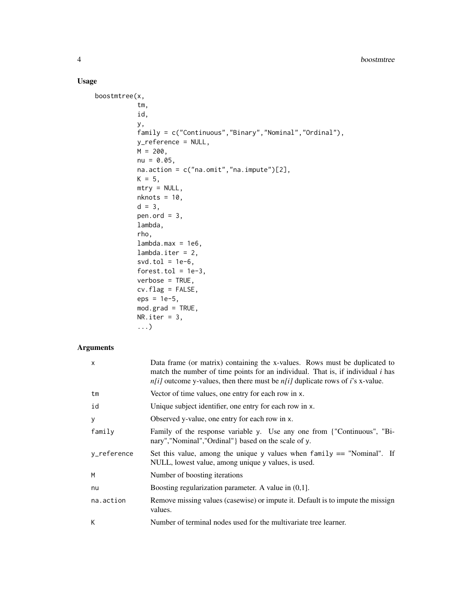# Usage

```
boostmtree(x,
           tm,
           id,
           y,
           family = c("Continuous","Binary","Nominal","Ordinal"),
           y_reference = NULL,
           M = 200,nu = 0.05,
           na.action = c("na.omit","na.impute")[2],
           K = 5,
           mtry = NULL,nknots = 10,d = 3,pen.ord = 3,
           lambda,
           rho,
           lambda.max = 1e6,lambda.iter = 2,svd.tol = 1e-6,
           forest.tol = 1e-3,verbose = TRUE,
           cv.flag = FALSE,
           eps = 1e-5,
           mod.grad = TRUE,
           NR.iter = 3,...)
```
# Arguments

| $\mathsf{x}$ | Data frame (or matrix) containing the x-values. Rows must be duplicated to<br>match the number of time points for an individual. That is, if individual <i>i</i> has<br>$n[i]$ outcome y-values, then there must be $n[i]$ duplicate rows of i's x-value. |
|--------------|-----------------------------------------------------------------------------------------------------------------------------------------------------------------------------------------------------------------------------------------------------------|
| tm           | Vector of time values, one entry for each row in x.                                                                                                                                                                                                       |
| id           | Unique subject identifier, one entry for each row in x.                                                                                                                                                                                                   |
| У            | Observed y-value, one entry for each row in x.                                                                                                                                                                                                            |
| family       | Family of the response variable y. Use any one from {"Continuous", "Bi-<br>nary","Nominal","Ordinal" } based on the scale of y.                                                                                                                           |
| v_reference  | Set this value, among the unique y values when $f$ amily $==$ "Nominal". If<br>NULL, lowest value, among unique y values, is used.                                                                                                                        |
| M            | Number of boosting iterations                                                                                                                                                                                                                             |
| nu           | Boosting regularization parameter. A value in $(0,1]$ .                                                                                                                                                                                                   |
| na.action    | Remove missing values (casewise) or impute it. Default is to impute the missign<br>values.                                                                                                                                                                |
| К            | Number of terminal nodes used for the multivariate tree learner.                                                                                                                                                                                          |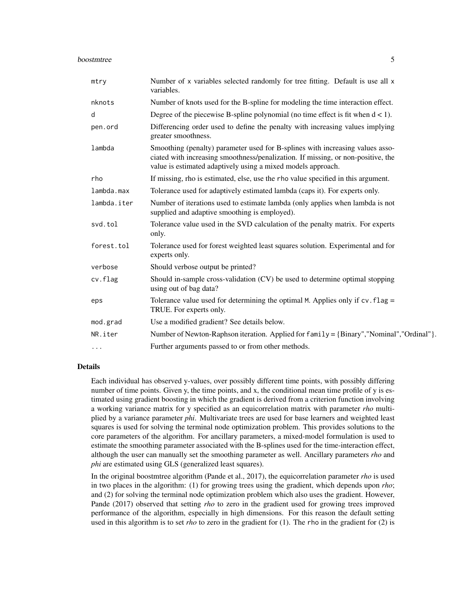#### boostmtree 5

| Number of x variables selected randomly for tree fitting. Default is use all x<br>variables.                                                                                                                                      |
|-----------------------------------------------------------------------------------------------------------------------------------------------------------------------------------------------------------------------------------|
| Number of knots used for the B-spline for modeling the time interaction effect.                                                                                                                                                   |
| Degree of the piecewise B-spline polynomial (no time effect is fit when $d < 1$ ).                                                                                                                                                |
| Differencing order used to define the penalty with increasing values implying<br>greater smoothness.                                                                                                                              |
| Smoothing (penalty) parameter used for B-splines with increasing values asso-<br>ciated with increasing smoothness/penalization. If missing, or non-positive, the<br>value is estimated adaptively using a mixed models approach. |
| If missing, rho is estimated, else, use the rho value specified in this argument.                                                                                                                                                 |
| Tolerance used for adaptively estimated lambda (caps it). For experts only.                                                                                                                                                       |
| Number of iterations used to estimate lambda (only applies when lambda is not<br>supplied and adaptive smoothing is employed).                                                                                                    |
| Tolerance value used in the SVD calculation of the penalty matrix. For experts<br>only.                                                                                                                                           |
| Tolerance used for forest weighted least squares solution. Experimental and for<br>experts only.                                                                                                                                  |
| Should verbose output be printed?                                                                                                                                                                                                 |
| Should in-sample cross-validation (CV) be used to determine optimal stopping<br>using out of bag data?                                                                                                                            |
| Tolerance value used for determining the optimal M. Applies only if $cv$ . $flag =$<br>TRUE. For experts only.                                                                                                                    |
| Use a modified gradient? See details below.                                                                                                                                                                                       |
| Number of Newton-Raphson iteration. Applied for family = {Binary", "Nominal", "Ordinal"}.                                                                                                                                         |
| Further arguments passed to or from other methods.                                                                                                                                                                                |
|                                                                                                                                                                                                                                   |

# Details

Each individual has observed y-values, over possibly different time points, with possibly differing number of time points. Given y, the time points, and x, the conditional mean time profile of y is estimated using gradient boosting in which the gradient is derived from a criterion function involving a working variance matrix for y specified as an equicorrelation matrix with parameter *rho* multiplied by a variance parameter *phi*. Multivariate trees are used for base learners and weighted least squares is used for solving the terminal node optimization problem. This provides solutions to the core parameters of the algorithm. For ancillary parameters, a mixed-model formulation is used to estimate the smoothing parameter associated with the B-splines used for the time-interaction effect, although the user can manually set the smoothing parameter as well. Ancillary parameters *rho* and *phi* are estimated using GLS (generalized least squares).

In the original boostmtree algorithm (Pande et al., 2017), the equicorrelation parameter *rho* is used in two places in the algorithm: (1) for growing trees using the gradient, which depends upon *rho*; and (2) for solving the terminal node optimization problem which also uses the gradient. However, Pande (2017) observed that setting *rho* to zero in the gradient used for growing trees improved performance of the algorithm, especially in high dimensions. For this reason the default setting used in this algorithm is to set *rho* to zero in the gradient for (1). The rho in the gradient for (2) is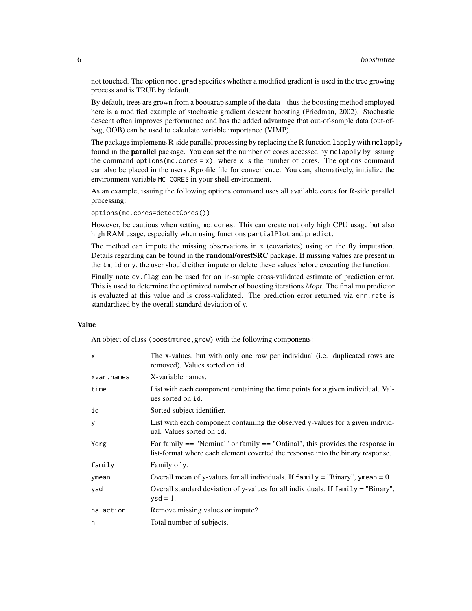not touched. The option mod.grad specifies whether a modified gradient is used in the tree growing process and is TRUE by default.

By default, trees are grown from a bootstrap sample of the data – thus the boosting method employed here is a modified example of stochastic gradient descent boosting (Friedman, 2002). Stochastic descent often improves performance and has the added advantage that out-of-sample data (out-ofbag, OOB) can be used to calculate variable importance (VIMP).

The package implements R-side parallel processing by replacing the R function lapply with mclapply found in the **parallel** package. You can set the number of cores accessed by mclapply by issuing the command options ( $mc \cdot cores = x$ ), where x is the number of cores. The options command can also be placed in the users .Rprofile file for convenience. You can, alternatively, initialize the environment variable MC\_CORES in your shell environment.

As an example, issuing the following options command uses all available cores for R-side parallel processing:

options(mc.cores=detectCores())

However, be cautious when setting mc.cores. This can create not only high CPU usage but also high RAM usage, especially when using functions partialPlot and predict.

The method can impute the missing observations in x (covariates) using on the fly imputation. Details regarding can be found in the **randomForestSRC** package. If missing values are present in the tm, id or y, the user should either impute or delete these values before executing the function.

Finally note cv. flag can be used for an in-sample cross-validated estimate of prediction error. This is used to determine the optimized number of boosting iterations *Mopt*. The final mu predictor is evaluated at this value and is cross-validated. The prediction error returned via err.rate is standardized by the overall standard deviation of y.

# Value

An object of class (boostmtree,grow) with the following components:

| $\mathsf{x}$ | The x-values, but with only one row per individual (i.e. duplicated rows are<br>removed). Values sorted on id.                                                      |
|--------------|---------------------------------------------------------------------------------------------------------------------------------------------------------------------|
| xvar.names   | X-variable names.                                                                                                                                                   |
| time         | List with each component containing the time points for a given individual. Val-<br>ues sorted on id.                                                               |
| id           | Sorted subject identifier.                                                                                                                                          |
| y            | List with each component containing the observed y-values for a given individ-<br>ual. Values sorted on id.                                                         |
| Yorg         | For family $==$ "Nominal" or family $==$ "Ordinal", this provides the response in<br>list-format where each element coverted the response into the binary response. |
| family       | Family of y.                                                                                                                                                        |
| ymean        | Overall mean of y-values for all individuals. If $family = "Binary",$ ymean = 0.                                                                                    |
| ysd          | Overall standard deviation of y-values for all individuals. If $family = "Binary",$<br>$ysd = 1$ .                                                                  |
| na.action    | Remove missing values or impute?                                                                                                                                    |
| n            | Total number of subjects.                                                                                                                                           |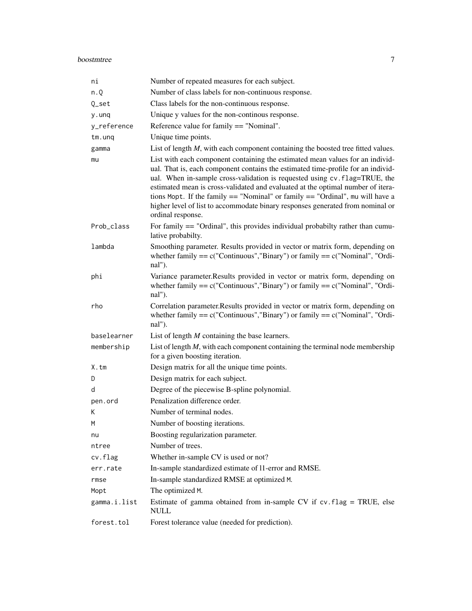| ni                         | Number of repeated measures for each subject.                                                                                                                                                                                                                                                                                                                                                                                                                                                                                 |
|----------------------------|-------------------------------------------------------------------------------------------------------------------------------------------------------------------------------------------------------------------------------------------------------------------------------------------------------------------------------------------------------------------------------------------------------------------------------------------------------------------------------------------------------------------------------|
| n.Q                        | Number of class labels for non-continuous response.                                                                                                                                                                                                                                                                                                                                                                                                                                                                           |
| Q_set                      | Class labels for the non-continuous response.                                                                                                                                                                                                                                                                                                                                                                                                                                                                                 |
| y.unq                      | Unique y values for the non-continous response.                                                                                                                                                                                                                                                                                                                                                                                                                                                                               |
| y_reference                | Reference value for family == "Nominal".                                                                                                                                                                                                                                                                                                                                                                                                                                                                                      |
| $tm.$ unq                  | Unique time points.                                                                                                                                                                                                                                                                                                                                                                                                                                                                                                           |
| gamma                      | List of length $M$ , with each component containing the boosted tree fitted values.                                                                                                                                                                                                                                                                                                                                                                                                                                           |
| mu                         | List with each component containing the estimated mean values for an individ-<br>ual. That is, each component contains the estimated time-profile for an individ-<br>ual. When in-sample cross-validation is requested using cv.flag=TRUE, the<br>estimated mean is cross-validated and evaluated at the optimal number of itera-<br>tions Mopt. If the family $==$ "Nominal" or family $==$ "Ordinal", mu will have a<br>higher level of list to accommodate binary responses generated from nominal or<br>ordinal response. |
| Prob_class                 | For family $==$ "Ordinal", this provides individual probabilty rather than cumu-<br>lative probabilty.                                                                                                                                                                                                                                                                                                                                                                                                                        |
| lambda                     | Smoothing parameter. Results provided in vector or matrix form, depending on<br>whether family $== c("Continuous", "Binary")$ or family $== c("Nominal", "Ordi-)$<br>nal").                                                                                                                                                                                                                                                                                                                                                   |
| phi                        | Variance parameter.Results provided in vector or matrix form, depending on<br>whether family $== c("Continuous", "Binary")$ or family $== c("Nominal", "Ordi-)$<br>nal").                                                                                                                                                                                                                                                                                                                                                     |
| rho                        | Correlation parameter. Results provided in vector or matrix form, depending on<br>whether family $== c("Continuous", "Binary")$ or family $== c("Nominal", "Ordi-)$<br>nal").                                                                                                                                                                                                                                                                                                                                                 |
| baselearner                | List of length $M$ containing the base learners.                                                                                                                                                                                                                                                                                                                                                                                                                                                                              |
| membership                 | List of length $M$ , with each component containing the terminal node membership<br>for a given boosting iteration.                                                                                                                                                                                                                                                                                                                                                                                                           |
| X.tm                       | Design matrix for all the unique time points.                                                                                                                                                                                                                                                                                                                                                                                                                                                                                 |
| D                          | Design matrix for each subject.                                                                                                                                                                                                                                                                                                                                                                                                                                                                                               |
| d                          | Degree of the piecewise B-spline polynomial.                                                                                                                                                                                                                                                                                                                                                                                                                                                                                  |
| pen.ord                    | Penalization difference order.                                                                                                                                                                                                                                                                                                                                                                                                                                                                                                |
| К                          | Number of terminal nodes.                                                                                                                                                                                                                                                                                                                                                                                                                                                                                                     |
| M                          | Number of boosting iterations.                                                                                                                                                                                                                                                                                                                                                                                                                                                                                                |
| nu                         |                                                                                                                                                                                                                                                                                                                                                                                                                                                                                                                               |
| ntree                      | Boosting regularization parameter.                                                                                                                                                                                                                                                                                                                                                                                                                                                                                            |
|                            | Number of trees.                                                                                                                                                                                                                                                                                                                                                                                                                                                                                                              |
| cv.flag                    | Whether in-sample CV is used or not?                                                                                                                                                                                                                                                                                                                                                                                                                                                                                          |
| err.rate                   | In-sample standardized estimate of 11-error and RMSE.                                                                                                                                                                                                                                                                                                                                                                                                                                                                         |
| rmse                       | In-sample standardized RMSE at optimized M.                                                                                                                                                                                                                                                                                                                                                                                                                                                                                   |
| Mopt                       | The optimized M.                                                                                                                                                                                                                                                                                                                                                                                                                                                                                                              |
| gamma.i.list<br>forest.tol | Estimate of gamma obtained from in-sample CV if cv.flag = TRUE, else<br><b>NULL</b><br>Forest tolerance value (needed for prediction).                                                                                                                                                                                                                                                                                                                                                                                        |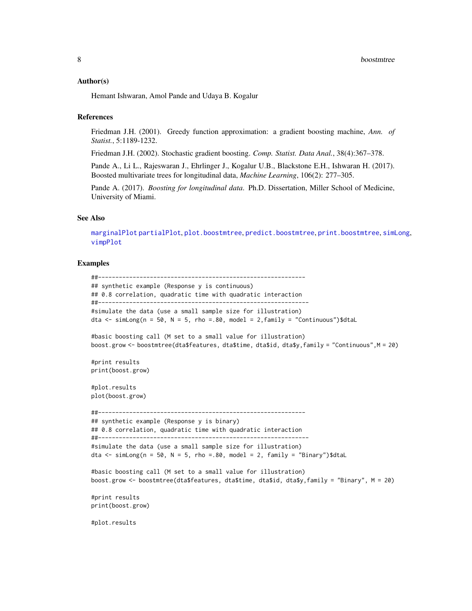# <span id="page-7-0"></span>Author(s)

Hemant Ishwaran, Amol Pande and Udaya B. Kogalur

# **References**

Friedman J.H. (2001). Greedy function approximation: a gradient boosting machine, *Ann. of Statist.*, 5:1189-1232.

Friedman J.H. (2002). Stochastic gradient boosting. *Comp. Statist. Data Anal.*, 38(4):367–378.

Pande A., Li L., Rajeswaran J., Ehrlinger J., Kogalur U.B., Blackstone E.H., Ishwaran H. (2017). Boosted multivariate trees for longitudinal data, *Machine Learning*, 106(2): 277–305.

Pande A. (2017). *Boosting for longitudinal data*. Ph.D. Dissertation, Miller School of Medicine, University of Miami.

#### See Also

[marginalPlot](#page-9-1) [partialPlot](#page-12-1), [plot.boostmtree](#page-15-1), [predict.boostmtree](#page-16-1), [print.boostmtree](#page-20-1), [simLong](#page-21-1), [vimpPlot](#page-25-1)

```
##------------------------------------------------------------
## synthetic example (Response y is continuous)
## 0.8 correlation, quadratic time with quadratic interaction
##-------------------------------------------------------------
#simulate the data (use a small sample size for illustration)
dta \le simLong(n = 50, N = 5, rho = 80, model = 2, family = "Continuous")$dtaL
#basic boosting call (M set to a small value for illustration)
boost.grow <- boostmtree(dta$features, dta$time, dta$id, dta$y,family = "Continuous",M = 20)
#print results
print(boost.grow)
#plot.results
plot(boost.grow)
##------------------------------------------------------------
## synthetic example (Response y is binary)
## 0.8 correlation, quadratic time with quadratic interaction
##-------------------------------------------------------------
#simulate the data (use a small sample size for illustration)
dta <- simLong(n = 50, N = 5, rho = 80, model = 2, family = "Binary")$dtaL
#basic boosting call (M set to a small value for illustration)
boost.grow <- boostmtree(dta$features, dta$time, dta$id, dta$y,family = "Binary", M = 20)
#print results
print(boost.grow)
#plot.results
```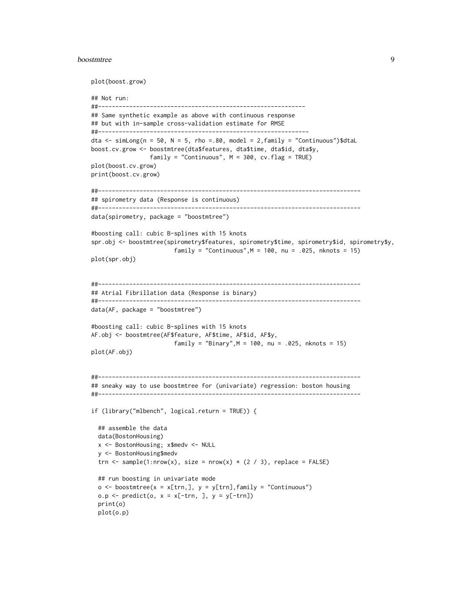#### boostmtree 9

```
plot(boost.grow)
## Not run:
##------------------------------------------------------------
## Same synthetic example as above with continuous response
## but with in-sample cross-validation estimate for RMSE
##-------------------------------------------------------------
dta \le simLong(n = 50, N = 5, rho = 80, model = 2, family = "Continuous")$dtaL
boost.cv.grow <- boostmtree(dta$features, dta$time, dta$id, dta$y,
                 family = "Continuous", M = 300, cv.flag = TRUE)
plot(boost.cv.grow)
print(boost.cv.grow)
##----------------------------------------------------------------------------
## spirometry data (Response is continuous)
##----------------------------------------------------------------------------
data(spirometry, package = "boostmtree")
#boosting call: cubic B-splines with 15 knots
spr.obj <- boostmtree(spirometry$features, spirometry$time, spirometry$id, spirometry$y,
                        family = "Continuous",M = 100, nu = .025, nknots = 15)
plot(spr.obj)
##----------------------------------------------------------------------------
## Atrial Fibrillation data (Response is binary)
##----------------------------------------------------------------------------
data(AF, package = "boostmtree")
#boosting call: cubic B-splines with 15 knots
AF.obj <- boostmtree(AF$feature, AF$time, AF$id, AF$y,
                        family = "Binary",M = 100, nu = .025, nknots = 15)
plot(AF.obj)
##----------------------------------------------------------------------------
## sneaky way to use boostmtree for (univariate) regression: boston housing
##----------------------------------------------------------------------------
if (library("mlbench", logical.return = TRUE)) {
 ## assemble the data
 data(BostonHousing)
 x <- BostonHousing; x$medv <- NULL
 y <- BostonHousing$medv
 trn <- sample(1:nrow(x), size = nrow(x) * (2 / 3), replace = FALSE)
 ## run boosting in univariate mode
 o \le boostmtree(x = x[trn,], y = y[trn], family = "Continuous")
 o.p \leftarrow predict(o, x = x[-trn, ], y = y[-trn])print(o)
 plot(o.p)
```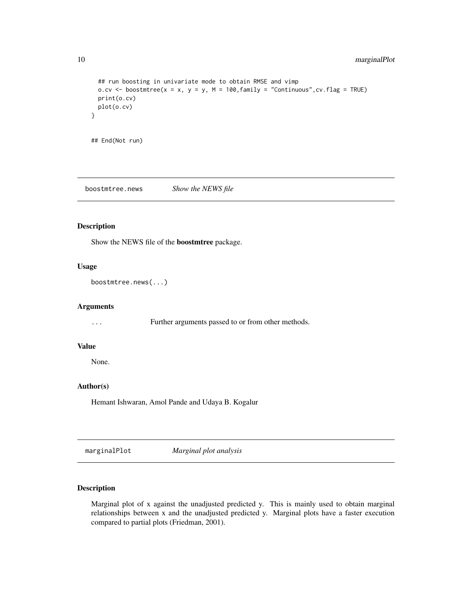```
## run boosting in univariate mode to obtain RMSE and vimp
 o.cv <- boostmtree(x = x, y = y, M = 100, family = "Continuous", cv. flag = TRUE)
 print(o.cv)
 plot(o.cv)
}
## End(Not run)
```
boostmtree.news *Show the NEWS file*

# Description

Show the NEWS file of the boostmtree package.

# Usage

boostmtree.news(...)

# Arguments

... Further arguments passed to or from other methods.

#### Value

None.

# Author(s)

Hemant Ishwaran, Amol Pande and Udaya B. Kogalur

<span id="page-9-1"></span>marginalPlot *Marginal plot analysis*

# Description

Marginal plot of x against the unadjusted predicted y. This is mainly used to obtain marginal relationships between x and the unadjusted predicted y. Marginal plots have a faster execution compared to partial plots (Friedman, 2001).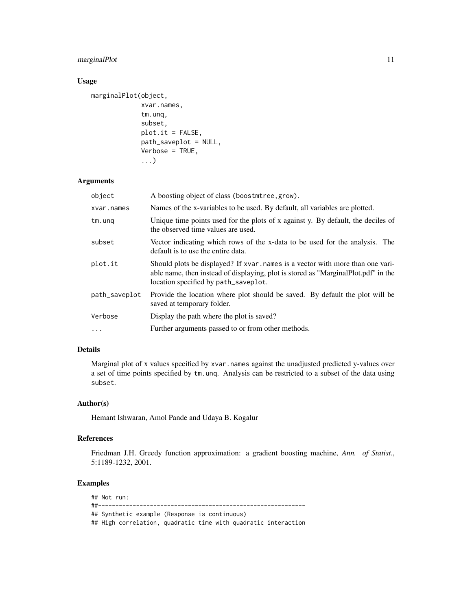# marginalPlot 11

# Usage

```
marginalPlot(object,
             xvar.names,
             tm.unq,
             subset,
             plot.it = FALSE,
             path_saveplot = NULL,
             Verbose = TRUE,
             ...)
```
# Arguments

| object        | A boosting object of class (boostmtree, grow).                                                                                                                                                               |
|---------------|--------------------------------------------------------------------------------------------------------------------------------------------------------------------------------------------------------------|
| xvar.names    | Names of the x-variables to be used. By default, all variables are plotted.                                                                                                                                  |
| $tm.$ unq     | Unique time points used for the plots of x against y. By default, the deciles of<br>the observed time values are used.                                                                                       |
| subset        | Vector indicating which rows of the x-data to be used for the analysis. The<br>default is to use the entire data.                                                                                            |
| plot.it       | Should plots be displayed? If xvar, names is a vector with more than one vari-<br>able name, then instead of displaying, plot is stored as "MarginalPlot.pdf" in the<br>location specified by path_saveplot. |
| path_saveplot | Provide the location where plot should be saved. By default the plot will be<br>saved at temporary folder.                                                                                                   |
| Verbose       | Display the path where the plot is saved?                                                                                                                                                                    |
| $\cdots$      | Further arguments passed to or from other methods.                                                                                                                                                           |

# Details

Marginal plot of x values specified by xvar.names against the unadjusted predicted y-values over a set of time points specified by tm.unq. Analysis can be restricted to a subset of the data using subset.

# Author(s)

Hemant Ishwaran, Amol Pande and Udaya B. Kogalur

# References

Friedman J.H. Greedy function approximation: a gradient boosting machine, *Ann. of Statist.*, 5:1189-1232, 2001.

# Examples

## Not run: ##------------------------------------------------------------ ## Synthetic example (Response is continuous) ## High correlation, quadratic time with quadratic interaction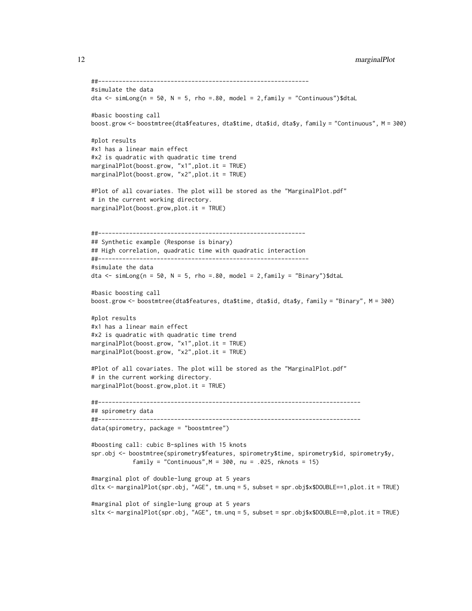```
##-------------------------------------------------------------
#simulate the data
dta \le simLong(n = 50, N = 5, rho = 80, model = 2, family = "Continuous")$dtaL
#basic boosting call
boost.grow <- boostmtree(dta$features, dta$time, dta$id, dta$y, family = "Continuous", M = 300)
#plot results
#x1 has a linear main effect
#x2 is quadratic with quadratic time trend
marginalPlot(boost.grow, "x1",plot.it = TRUE)
marginalPlot(boost.grow, "x2",plot.it = TRUE)
#Plot of all covariates. The plot will be stored as the "MarginalPlot.pdf"
# in the current working directory.
marginalPlot(boost.grow,plot.it = TRUE)
##------------------------------------------------------------
## Synthetic example (Response is binary)
## High correlation, quadratic time with quadratic interaction
##-------------------------------------------------------------
#simulate the data
dta \le simLong(n = 50, N = 5, rho =.80, model = 2, family = "Binary")$dtaL
#basic boosting call
boost.grow <- boostmtree(dta$features, dta$time, dta$id, dta$y, family = "Binary", M = 300)
#plot results
#x1 has a linear main effect
#x2 is quadratic with quadratic time trend
marginalPlot(boost.grow, "x1",plot.it = TRUE)
marginalPlot(boost.grow, "x2",plot.it = TRUE)
#Plot of all covariates. The plot will be stored as the "MarginalPlot.pdf"
# in the current working directory.
marginalPlot(boost.grow,plot.it = TRUE)
##----------------------------------------------------------------------------
## spirometry data
##----------------------------------------------------------------------------
data(spirometry, package = "boostmtree")
#boosting call: cubic B-splines with 15 knots
spr.obj <- boostmtree(spirometry$features, spirometry$time, spirometry$id, spirometry$y,
            family = "Continuous",M = 300, nu = .025, nknots = 15)
#marginal plot of double-lung group at 5 years
dltx <- marginalPlot(spr.obj, "AGE", tm.unq = 5, subset = spr.obj$x$DOUBLE==1,plot.it = TRUE)
#marginal plot of single-lung group at 5 years
sltx <- marginalPlot(spr.obj, "AGE", tm.unq = 5, subset = spr.obj$x$DOUBLE==0,plot.it = TRUE)
```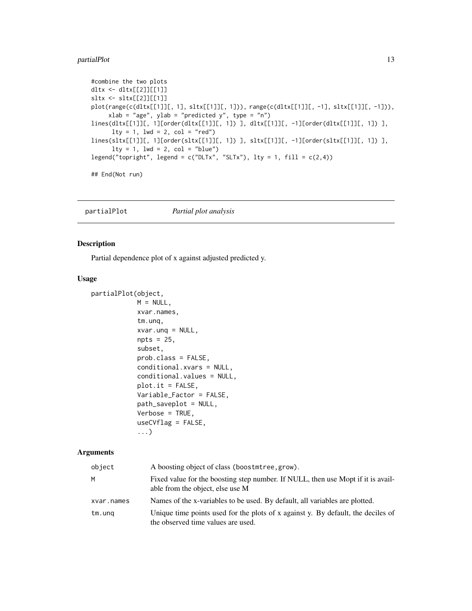#### <span id="page-12-0"></span>partialPlot the contract of the contract of the contract of the contract of the contract of the contract of the contract of the contract of the contract of the contract of the contract of the contract of the contract of th

```
#combine the two plots
dltx <- dltx[[2]][[1]]
sltx <- sltx[[2]][[1]]
plot(range(c(dltx[[1]][, 1], sltx[[1]][, 1])), range(c(dltx[[1]][, -1], sltx[[1]][, -1])),
     xlab = "age", ylab = "predicted y", type = "n")lines(dltx[[1]][, 1][order(dltx[[1]][, 1]) ], dltx[[1]][, -1][order(dltx[[1]][, 1]) ],
      lty = 1, lwd = 2, col = "red")lines(sltx[[1]][, 1][order(sltx[[1]][, 1]) ], sltx[[1]][, -1][order(sltx[[1]][, 1]) ],
      lty = 1, lwd = 2, col = "blue")legend("topright", legend = c("DLTx", "SLTx"), lty = 1, fill = c(2,4))## End(Not run)
```
<span id="page-12-1"></span>partialPlot *Partial plot analysis*

# Description

Partial dependence plot of x against adjusted predicted y.

#### Usage

```
partialPlot(object,
            M = NULL,xvar.names,
            tm.unq,
            xvar.unq = NULL,
            npts = 25,
            subset,
            prob.class = FALSE,
            conditional.xvars = NULL,
            conditional.values = NULL,
            plot.it = FALSE,Variable_Factor = FALSE,
            path_saveplot = NULL,
            Verbose = TRUE,
            useCVflag = FALSE,
            ...)
```
# Arguments

| object     | A boosting object of class (boostmtree, grow).                                                                         |
|------------|------------------------------------------------------------------------------------------------------------------------|
| M          | Fixed value for the boosting step number. If NULL, then use Mopt if it is avail-<br>able from the object, else use M   |
| xvar.names | Names of the x-variables to be used. By default, all variables are plotted.                                            |
| tm.ung     | Unique time points used for the plots of x against y. By default, the deciles of<br>the observed time values are used. |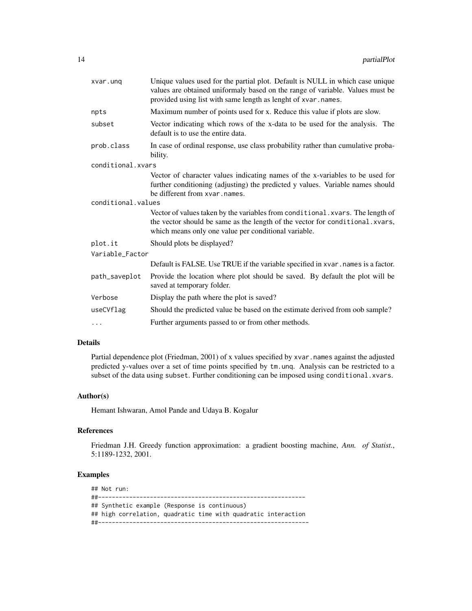| xvar.ung           | Unique values used for the partial plot. Default is NULL in which case unique<br>values are obtained uniformaly based on the range of variable. Values must be<br>provided using list with same length as lenght of xvar.names. |
|--------------------|---------------------------------------------------------------------------------------------------------------------------------------------------------------------------------------------------------------------------------|
| npts               | Maximum number of points used for x. Reduce this value if plots are slow.                                                                                                                                                       |
| subset             | Vector indicating which rows of the x-data to be used for the analysis. The<br>default is to use the entire data.                                                                                                               |
| prob.class         | In case of ordinal response, use class probability rather than cumulative proba-<br>bility.                                                                                                                                     |
| conditional.xvars  |                                                                                                                                                                                                                                 |
|                    | Vector of character values indicating names of the x-variables to be used for<br>further conditioning (adjusting) the predicted y values. Variable names should<br>be different from xvar.names.                                |
| conditional.values |                                                                                                                                                                                                                                 |
|                    | Vector of values taken by the variables from conditional. xvars. The length of<br>the vector should be same as the length of the vector for conditional.xvars,<br>which means only one value per conditional variable.          |
| plot.it            | Should plots be displayed?                                                                                                                                                                                                      |
| Variable_Factor    |                                                                                                                                                                                                                                 |
|                    | Default is FALSE. Use TRUE if the variable specified in xvar. names is a factor.                                                                                                                                                |
| path_saveplot      | Provide the location where plot should be saved. By default the plot will be<br>saved at temporary folder.                                                                                                                      |
| Verbose            | Display the path where the plot is saved?                                                                                                                                                                                       |
| useCVflag          | Should the predicted value be based on the estimate derived from oob sample?                                                                                                                                                    |
| $\cdots$           | Further arguments passed to or from other methods.                                                                                                                                                                              |

# Details

Partial dependence plot (Friedman, 2001) of x values specified by xvar.names against the adjusted predicted y-values over a set of time points specified by tm.unq. Analysis can be restricted to a subset of the data using subset. Further conditioning can be imposed using conditional.xvars.

# Author(s)

Hemant Ishwaran, Amol Pande and Udaya B. Kogalur

# References

Friedman J.H. Greedy function approximation: a gradient boosting machine, *Ann. of Statist.*, 5:1189-1232, 2001.

# Examples

## Not run: ##------------------------------------------------------------ ## Synthetic example (Response is continuous) ## high correlation, quadratic time with quadratic interaction ##-------------------------------------------------------------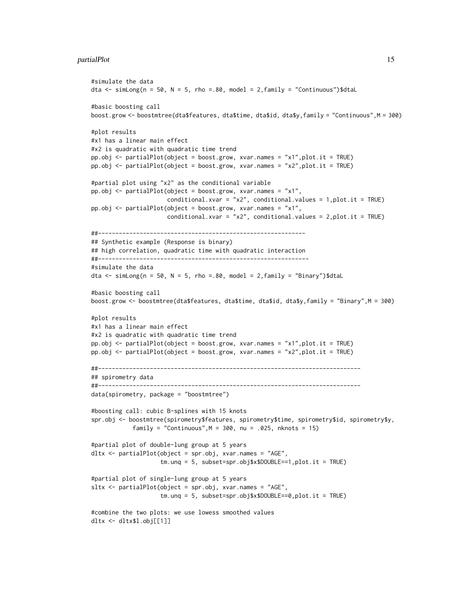#### partialPlot the contract of the contract of the contract of the contract of the contract of the contract of the contract of the contract of the contract of the contract of the contract of the contract of the contract of th

```
#simulate the data
dta \le simLong(n = 50, N = 5, rho = 80, model = 2, family = "Continuous")$dtaL
#basic boosting call
boost.grow <- boostmtree(dta$features, dta$time, dta$id, dta$y,family = "Continuous",M = 300)
#plot results
#x1 has a linear main effect
#x2 is quadratic with quadratic time trend
pp.obj <- partialPlot(object = boost.grow, xvar.names = "x1",plot.it = TRUE)
pp.obj <- partialPlot(object = boost.grow, xvar.names = "x2",plot.it = TRUE)
#partial plot using "x2" as the conditional variable
pp.obj <- partialPlot(object = boost.grow, xvar.names = "x1",
                      conditional.xvar = "x2", conditional.values = 1,plot.it = TRUE)
pp.obj <- partialPlot(object = boost.grow, xvar.names = "x1",
                      conditional.xvar = "x2", conditional.values = 2,plot.it = TRUE)
##------------------------------------------------------------
## Synthetic example (Response is binary)
## high correlation, quadratic time with quadratic interaction
##-------------------------------------------------------------
#simulate the data
dta \le simLong(n = 50, N = 5, rho =.80, model = 2, family = "Binary")$dtaL
#basic boosting call
boost.grow <- boostmtree(dta$features, dta$time, dta$id, dta$y,family = "Binary",M = 300)
#plot results
#x1 has a linear main effect
#x2 is quadratic with quadratic time trend
pp.obj <- partialPlot(object = boost.grow, xvar.names = "x1",plot.it = TRUE)
pp.obj <- partialPlot(object = boost.grow, xvar.names = "x2",plot.it = TRUE)
##----------------------------------------------------------------------------
## spirometry data
##----------------------------------------------------------------------------
data(spirometry, package = "boostmtree")
#boosting call: cubic B-splines with 15 knots
spr.obj <- boostmtree(spirometry$features, spirometry$time, spirometry$id, spirometry$y,
            family = "Continuous",M = 300, nu = .025, nknots = 15)
#partial plot of double-lung group at 5 years
dltx <- partialPlot(object = spr.obj, xvar.names = "AGE",
                    tm.unq = 5, subset=spr.obj$x$DOUBLE==1,plot.it = TRUE)
#partial plot of single-lung group at 5 years
sltx <- partialPlot(object = spr.obj, xvar.names = "AGE",
                    tm.unq = 5, subset=spr.obj$x$DOUBLE==0,plot.it = TRUE)
#combine the two plots: we use lowess smoothed values
dltx <- dltx$l.obj[[1]]
```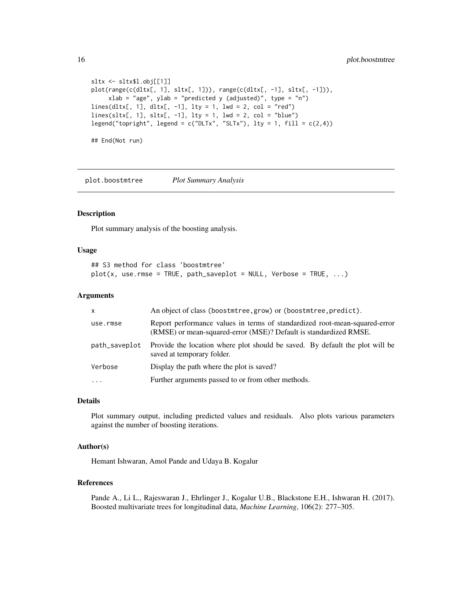```
sltx <- sltx$l.obj[[1]]
plot(range(c(dltx[, 1], sltx[, 1])), range(c(dltx[, -1], sltx[, -1])),
     xlab = "age", ylab = "predicted y (adjusted)", type = "n")
lines(dltx[, 1], dltx[, -1], lty = 1, lwd = 2, col = "red")
lines(sltx[, 1], sltx[, -1], lty = 1, lwd = 2, col = "blue")
legend("topright", legend = c("DLTx", "SLTx"), lty = 1, fill = c(2,4))## End(Not run)
```
<span id="page-15-1"></span>plot.boostmtree *Plot Summary Analysis*

#### Description

Plot summary analysis of the boosting analysis.

#### Usage

```
## S3 method for class 'boostmtree'
plot(x, use.rmse = TRUE, path\_saveplot = NULL, Verbose = TRUE, ...)
```
# Arguments

| $\mathsf{x}$  | An object of class (boostmtree, grow) or (boostmtree, predict).                                                                                 |
|---------------|-------------------------------------------------------------------------------------------------------------------------------------------------|
| use.rmse      | Report performance values in terms of standardized root-mean-squared-error<br>(RMSE) or mean-squared-error (MSE)? Default is standardized RMSE. |
| path_saveplot | Provide the location where plot should be saved. By default the plot will be<br>saved at temporary folder.                                      |
| Verbose       | Display the path where the plot is saved?                                                                                                       |
| $\cdot$       | Further arguments passed to or from other methods.                                                                                              |

#### Details

Plot summary output, including predicted values and residuals. Also plots various parameters against the number of boosting iterations.

# Author(s)

Hemant Ishwaran, Amol Pande and Udaya B. Kogalur

# References

Pande A., Li L., Rajeswaran J., Ehrlinger J., Kogalur U.B., Blackstone E.H., Ishwaran H. (2017). Boosted multivariate trees for longitudinal data, *Machine Learning*, 106(2): 277–305.

<span id="page-15-0"></span>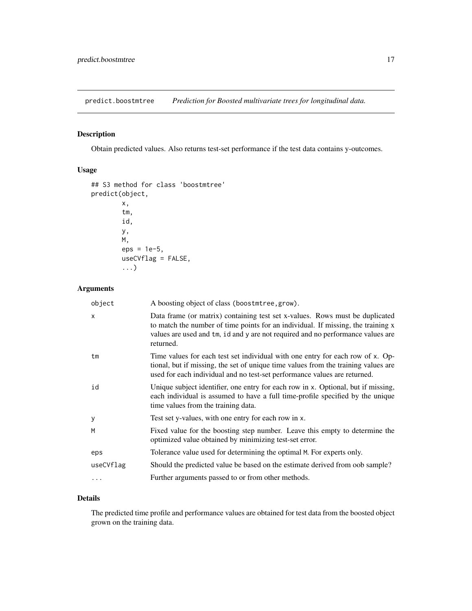<span id="page-16-1"></span><span id="page-16-0"></span>predict.boostmtree *Prediction for Boosted multivariate trees for longitudinal data.*

# Description

Obtain predicted values. Also returns test-set performance if the test data contains y-outcomes.

# Usage

```
## S3 method for class 'boostmtree'
predict(object,
        x,
        tm,
        id,
        y,
        M,
        eps = 1e-5,
        useCVflag = FALSE,
        ...)
```
# Arguments

| object    | A boosting object of class (boostmtree, grow).                                                                                                                                                                                                                   |
|-----------|------------------------------------------------------------------------------------------------------------------------------------------------------------------------------------------------------------------------------------------------------------------|
| X         | Data frame (or matrix) containing test set x-values. Rows must be duplicated<br>to match the number of time points for an individual. If missing, the training x<br>values are used and tm, id and y are not required and no performance values are<br>returned. |
| tm        | Time values for each test set individual with one entry for each row of x. Op-<br>tional, but if missing, the set of unique time values from the training values are<br>used for each individual and no test-set performance values are returned.                |
| id        | Unique subject identifier, one entry for each row in x. Optional, but if missing,<br>each individual is assumed to have a full time-profile specified by the unique<br>time values from the training data.                                                       |
| y         | Test set y-values, with one entry for each row in x.                                                                                                                                                                                                             |
| M         | Fixed value for the boosting step number. Leave this empty to determine the<br>optimized value obtained by minimizing test-set error.                                                                                                                            |
| eps       | Tolerance value used for determining the optimal M. For experts only.                                                                                                                                                                                            |
| useCVflag | Should the predicted value be based on the estimate derived from oob sample?                                                                                                                                                                                     |
| $\cdots$  | Further arguments passed to or from other methods.                                                                                                                                                                                                               |

# Details

The predicted time profile and performance values are obtained for test data from the boosted object grown on the training data.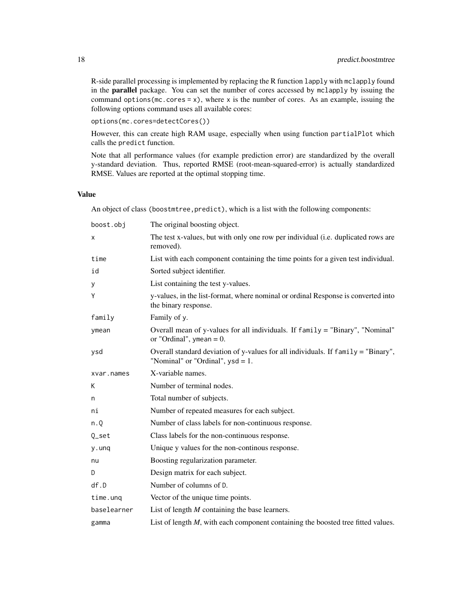R-side parallel processing is implemented by replacing the R function lapply with mclapply found in the parallel package. You can set the number of cores accessed by mclapply by issuing the command options (mc.cores = x), where x is the number of cores. As an example, issuing the following options command uses all available cores:

options(mc.cores=detectCores())

However, this can create high RAM usage, especially when using function partialPlot which calls the predict function.

Note that all performance values (for example prediction error) are standardized by the overall y-standard deviation. Thus, reported RMSE (root-mean-squared-error) is actually standardized RMSE. Values are reported at the optimal stopping time.

# Value

An object of class (boostmtree,predict), which is a list with the following components:

| boost.obj   | The original boosting object.                                                                                            |
|-------------|--------------------------------------------------------------------------------------------------------------------------|
| х           | The test x-values, but with only one row per individual (i.e. duplicated rows are<br>removed).                           |
| time        | List with each component containing the time points for a given test individual.                                         |
| id          | Sorted subject identifier.                                                                                               |
| У           | List containing the test y-values.                                                                                       |
| Y           | y-values, in the list-format, where nominal or ordinal Response is converted into<br>the binary response.                |
| family      | Family of y.                                                                                                             |
| ymean       | Overall mean of y-values for all individuals. If family = "Binary", "Nominal"<br>or "Ordinal", ymean = $0$ .             |
| ysd         | Overall standard deviation of y-values for all individuals. If family = "Binary",<br>"Nominal" or "Ordinal", $ysd = 1$ . |
| xvar.names  | X-variable names.                                                                                                        |
| К           | Number of terminal nodes.                                                                                                |
| n           | Total number of subjects.                                                                                                |
| ni          | Number of repeated measures for each subject.                                                                            |
| n.Q         | Number of class labels for non-continuous response.                                                                      |
| Q_set       | Class labels for the non-continuous response.                                                                            |
| y.unq       | Unique y values for the non-continous response.                                                                          |
| nu          | Boosting regularization parameter.                                                                                       |
| D           | Design matrix for each subject.                                                                                          |
| df.D        | Number of columns of D.                                                                                                  |
| time.unq    | Vector of the unique time points.                                                                                        |
| baselearner | List of length $M$ containing the base learners.                                                                         |
| gamma       | List of length $M$ , with each component containing the boosted tree fitted values.                                      |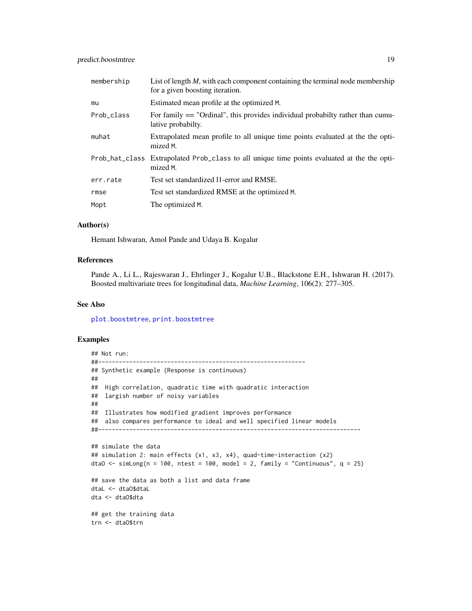<span id="page-18-0"></span>

| membership | List of length $M$ , with each component containing the terminal node membership<br>for a given boosting iteration. |  |
|------------|---------------------------------------------------------------------------------------------------------------------|--|
| mu         | Estimated mean profile at the optimized M.                                                                          |  |
| Prob class | For family $==$ "Ordinal", this provides individual probabilty rather than cumu-<br>lative probabilty.              |  |
| muhat      | Extrapolated mean profile to all unique time points evaluated at the the opti-<br>mized M.                          |  |
|            | Prob_hat_class Extrapolated Prob_class to all unique time points evaluated at the the opti-<br>mized M.             |  |
| err.rate   | Test set standardized 11-error and RMSE.                                                                            |  |
| rmse       | Test set standardized RMSE at the optimized M.                                                                      |  |
| Mopt       | The optimized M.                                                                                                    |  |

# Author(s)

Hemant Ishwaran, Amol Pande and Udaya B. Kogalur

# References

Pande A., Li L., Rajeswaran J., Ehrlinger J., Kogalur U.B., Blackstone E.H., Ishwaran H. (2017). Boosted multivariate trees for longitudinal data, *Machine Learning*, 106(2): 277–305.

# See Also

[plot.boostmtree](#page-15-1), [print.boostmtree](#page-20-1)

```
## Not run:
##------------------------------------------------------------
## Synthetic example (Response is continuous)
##
## High correlation, quadratic time with quadratic interaction
## largish number of noisy variables
##
## Illustrates how modified gradient improves performance
## also compares performance to ideal and well specified linear models
##----------------------------------------------------------------------------
## simulate the data
## simulation 2: main effects (x1, x3, x4), quad-time-interaction (x2)
dtaO <- simLong(n = 100, ntest = 100, model = 2, family = "Continuous", q = 25)
## save the data as both a list and data frame
dtaL <- dtaO$dtaL
dta <- dtaO$dta
## get the training data
trn <- dtaO$trn
```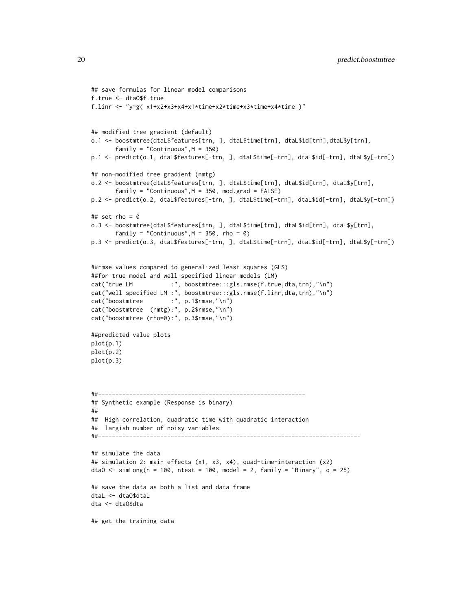```
## save formulas for linear model comparisons
f.true <- dtaO$f.true
f.linr <- "y~g( x1+x2+x3+x4+x1*time+x2*time+x3*time+x4*time )"
## modified tree gradient (default)
o.1 <- boostmtree(dtaL$features[trn, ], dtaL$time[trn], dtaL$id[trn],dtaL$y[trn],
       family = "Continuous", M = 350)p.1 <- predict(o.1, dtaL$features[-trn, ], dtaL$time[-trn], dtaL$id[-trn], dtaL$y[-trn])
## non-modified tree gradient (nmtg)
o.2 <- boostmtree(dtaL$features[trn, ], dtaL$time[trn], dtaL$id[trn], dtaL$y[trn],
       family = "Continuous", M = 350, mod.grad = FALSE)p.2 <- predict(o.2, dtaL$features[-trn, ], dtaL$time[-trn], dtaL$id[-trn], dtaL$y[-trn])
## set rho = 0
o.3 <- boostmtree(dtaL$features[trn, ], dtaL$time[trn], dtaL$id[trn], dtaL$y[trn],
       family = "Continuous",M = 350, rho = 0)
p.3 <- predict(o.3, dtaL$features[-trn, ], dtaL$time[-trn], dtaL$id[-trn], dtaL$y[-trn])
##rmse values compared to generalized least squares (GLS)
##for true model and well specified linear models (LM)
cat("true LM :", boostmtree:::gls.rmse(f.true,dta,trn),"\n")
cat("well specified LM :", boostmtree:::gls.rmse(f.linr,dta,trn),"\n")
cat("boostmtree :", p.1$rmse,"\n")
cat("boostmtree (nmtg):", p.2$rmse,"\n")
cat("boostmtree (rho=0):", p.3$rmse,"\n")
##predicted value plots
plot(p.1)
plot(p.2)
plot(p.3)
##------------------------------------------------------------
## Synthetic example (Response is binary)
##
## High correlation, quadratic time with quadratic interaction
## largish number of noisy variables
##----------------------------------------------------------------------------
## simulate the data
## simulation 2: main effects (x1, x3, x4), quad-time-interaction (x2)
dtaO <- simLong(n = 100, ntest = 100, model = 2, family = "Binary", q = 25)
## save the data as both a list and data frame
dtaL <- dtaO$dtaL
dta <- dtaO$dta
## get the training data
```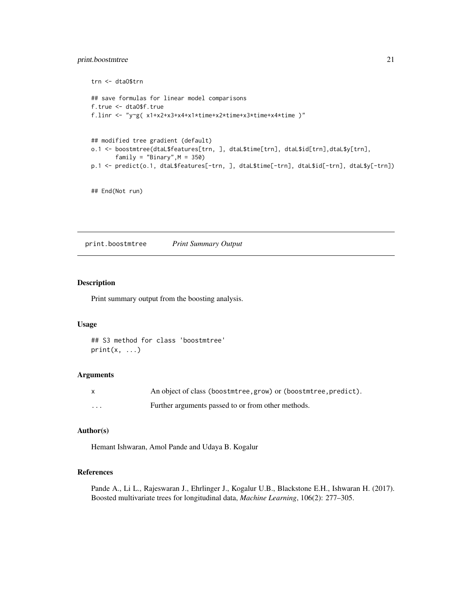# <span id="page-20-0"></span>print.boostmtree 21

```
trn <- dtaO$trn
## save formulas for linear model comparisons
f.true <- dtaO$f.true
f.linr <- "y~g( x1+x2+x3+x4+x1*time+x2*time+x3*time+x4*time )"
## modified tree gradient (default)
o.1 <- boostmtree(dtaL$features[trn, ], dtaL$time[trn], dtaL$id[trn],dtaL$y[trn],
       family = "Binary",M = 350)
p.1 <- predict(o.1, dtaL$features[-trn, ], dtaL$time[-trn], dtaL$id[-trn], dtaL$y[-trn])
```

```
## End(Not run)
```
<span id="page-20-1"></span>print.boostmtree *Print Summary Output*

# Description

Print summary output from the boosting analysis.

#### Usage

## S3 method for class 'boostmtree'  $print(x, \ldots)$ 

# Arguments

| X        | An object of class (boostmtree, grow) or (boostmtree, predict). |
|----------|-----------------------------------------------------------------|
| $\cdots$ | Further arguments passed to or from other methods.              |

# Author(s)

Hemant Ishwaran, Amol Pande and Udaya B. Kogalur

# References

Pande A., Li L., Rajeswaran J., Ehrlinger J., Kogalur U.B., Blackstone E.H., Ishwaran H. (2017). Boosted multivariate trees for longitudinal data, *Machine Learning*, 106(2): 277–305.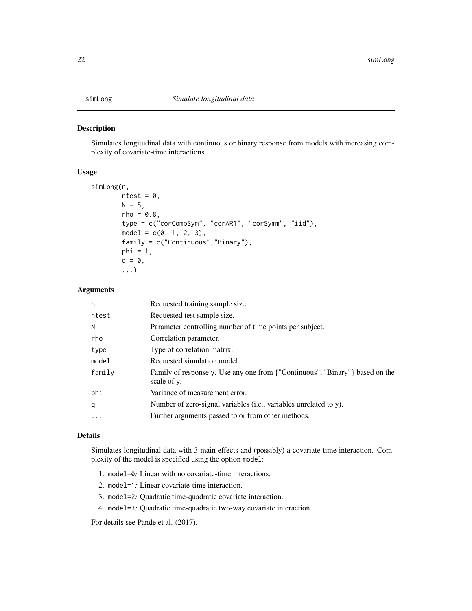# <span id="page-21-1"></span><span id="page-21-0"></span>Description

Simulates longitudinal data with continuous or binary response from models with increasing complexity of covariate-time interactions.

#### Usage

```
simLong(n,
        ntest = 0,
        N = 5,
        rho = 0.8,
        type = c("corCompSym", "corAR1", "corSymm", "iid"),
        model = c(0, 1, 2, 3),family = c("Continuous","Binary"),
        phi = 1,
        q = 0,
        ...)
```
# Arguments

| n      | Requested training sample size.                                                             |  |
|--------|---------------------------------------------------------------------------------------------|--|
| ntest  | Requested test sample size.                                                                 |  |
| N      | Parameter controlling number of time points per subject.                                    |  |
| rho    | Correlation parameter.                                                                      |  |
| type   | Type of correlation matrix.                                                                 |  |
| model  | Requested simulation model.                                                                 |  |
| family | Family of response y. Use any one from {"Continuous", "Binary"} based on the<br>scale of y. |  |
| phi    | Variance of measurement error.                                                              |  |
| q      | Number of zero-signal variables (i.e., variables unrelated to y).                           |  |
| .      | Further arguments passed to or from other methods.                                          |  |
|        |                                                                                             |  |

# Details

Simulates longitudinal data with 3 main effects and (possibly) a covariate-time interaction. Complexity of the model is specified using the option model:

- 1. model=0*:* Linear with no covariate-time interactions.
- 2. model=1*:* Linear covariate-time interaction.
- 3. model=2*:* Quadratic time-quadratic covariate interaction.
- 4. model=3*:* Quadratic time-quadratic two-way covariate interaction.

For details see Pande et al. (2017).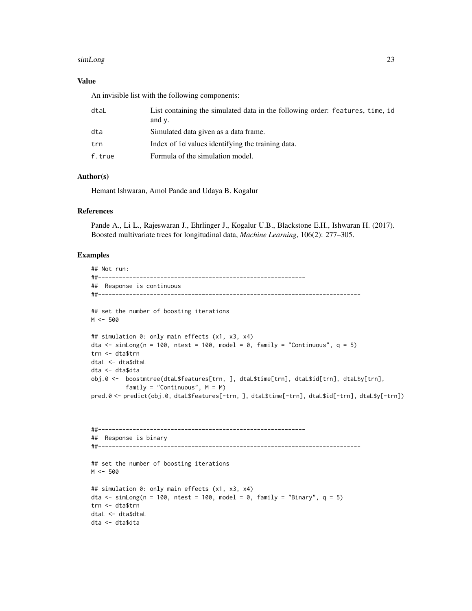#### simLong 23

# Value

An invisible list with the following components:

| dtaL   | List containing the simulated data in the following order: features, time, id<br>and $\nu$ . |
|--------|----------------------------------------------------------------------------------------------|
| dta    | Simulated data given as a data frame.                                                        |
| trn    | Index of id values identifying the training data.                                            |
| f.true | Formula of the simulation model.                                                             |

# Author(s)

Hemant Ishwaran, Amol Pande and Udaya B. Kogalur

# References

Pande A., Li L., Rajeswaran J., Ehrlinger J., Kogalur U.B., Blackstone E.H., Ishwaran H. (2017). Boosted multivariate trees for longitudinal data, *Machine Learning*, 106(2): 277–305.

```
## Not run:
##------------------------------------------------------------
## Response is continuous
##----------------------------------------------------------------------------
## set the number of boosting iterations
M < -500## simulation 0: only main effects (x1, x3, x4)
dta <- simLong(n = 100, ntest = 100, model = 0, family = "Continuous", q = 5)
trn <- dta$trn
dtaL <- dta$dtaL
dta <- dta$dta
obj.0 <- boostmtree(dtaL$features[trn, ], dtaL$time[trn], dtaL$id[trn], dtaL$y[trn],
          family = "Continuous", M = M)
pred.0 <- predict(obj.0, dtaL$features[-trn, ], dtaL$time[-trn], dtaL$id[-trn], dtaL$y[-trn])
##------------------------------------------------------------
## Response is binary
##----------------------------------------------------------------------------
## set the number of boosting iterations
M < - 500## simulation 0: only main effects (x1, x3, x4)
dta <- simLong(n = 100, ntest = 100, model = 0, family = "Binary", q = 5)
trn <- dta$trn
dtaL <- dta$dtaL
dta <- dta$dta
```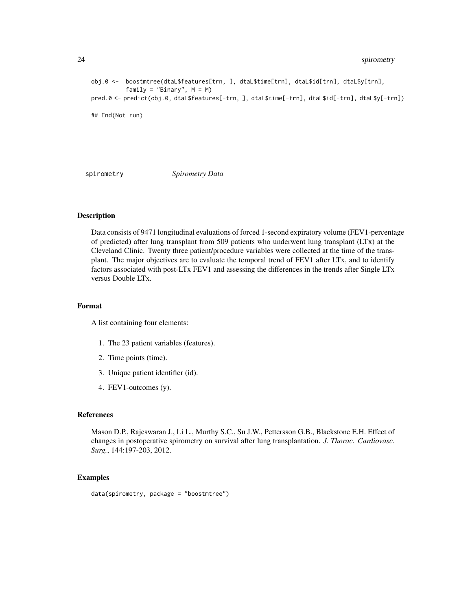24 spirometry and the spirometry spirometry spirometry

```
obj.0 <- boostmtree(dtaL$features[trn, ], dtaL$time[trn], dtaL$id[trn], dtaL$y[trn],
          family = "Binary", M = M)pred.0 <- predict(obj.0, dtaL$features[-trn, ], dtaL$time[-trn], dtaL$id[-trn], dtaL$y[-trn])
## End(Not run)
```
spirometry *Spirometry Data*

# **Description**

Data consists of 9471 longitudinal evaluations of forced 1-second expiratory volume (FEV1-percentage of predicted) after lung transplant from 509 patients who underwent lung transplant (LTx) at the Cleveland Clinic. Twenty three patient/procedure variables were collected at the time of the transplant. The major objectives are to evaluate the temporal trend of FEV1 after LTx, and to identify factors associated with post-LTx FEV1 and assessing the differences in the trends after Single LTx versus Double LTx.

# Format

A list containing four elements:

- 1. The 23 patient variables (features).
- 2. Time points (time).
- 3. Unique patient identifier (id).
- 4. FEV1-outcomes (y).

# References

Mason D.P., Rajeswaran J., Li L., Murthy S.C., Su J.W., Pettersson G.B., Blackstone E.H. Effect of changes in postoperative spirometry on survival after lung transplantation. *J. Thorac. Cardiovasc. Surg.*, 144:197-203, 2012.

```
data(spirometry, package = "boostmtree")
```
<span id="page-23-0"></span>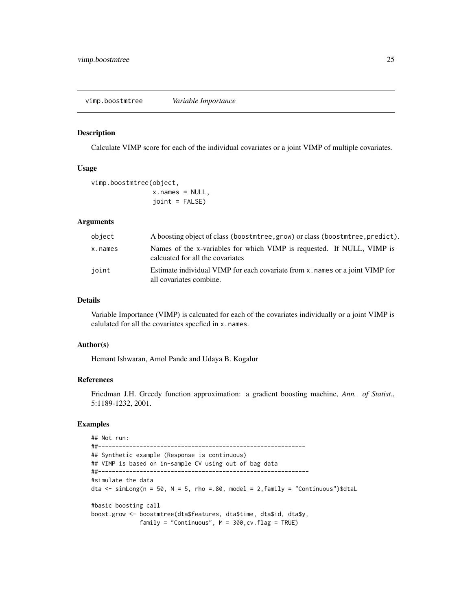<span id="page-24-0"></span>vimp.boostmtree *Variable Importance*

# Description

Calculate VIMP score for each of the individual covariates or a joint VIMP of multiple covariates.

# Usage

```
vimp.boostmtree(object,
                x.names = NULL,joint = FALSE)
```
# Arguments

| object  | A boosting object of class (boostmtree, grow) or class (boostmtree, predict).                              |  |
|---------|------------------------------------------------------------------------------------------------------------|--|
| x.names | Names of the x-variables for which VIMP is requested. If NULL, VIMP is<br>calcuated for all the covariates |  |
| joint   | Estimate individual VIMP for each covariate from x, names or a joint VIMP for<br>all covariates combine.   |  |

# Details

Variable Importance (VIMP) is calcuated for each of the covariates individually or a joint VIMP is calulated for all the covariates specfied in x.names.

# Author(s)

Hemant Ishwaran, Amol Pande and Udaya B. Kogalur

# References

Friedman J.H. Greedy function approximation: a gradient boosting machine, *Ann. of Statist.*, 5:1189-1232, 2001.

```
## Not run:
##------------------------------------------------------------
## Synthetic example (Response is continuous)
## VIMP is based on in-sample CV using out of bag data
##-------------------------------------------------------------
#simulate the data
dta \le simLong(n = 50, N = 5, rho = 80, model = 2, family = "Continuous")$dtaL
#basic boosting call
boost.grow <- boostmtree(dta$features, dta$time, dta$id, dta$y,
              family = "Continuous", M = 300, cv. flag = TRUE)
```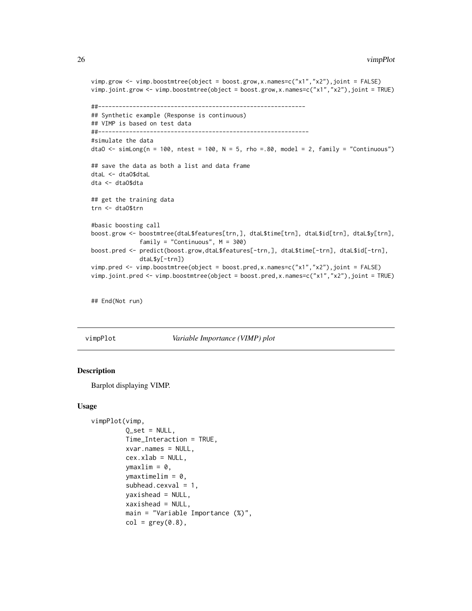```
vimp.grow <- vimp.boostmtree(object = boost.grow,x.names=c("x1","x2"),joint = FALSE)
vimp.joint.grow <- vimp.boostmtree(object = boost.grow,x.names=c("x1","x2"),joint = TRUE)
##------------------------------------------------------------
## Synthetic example (Response is continuous)
## VIMP is based on test data
##-------------------------------------------------------------
#simulate the data
dtaO <- simLong(n = 100, ntest = 100, N = 5, rho = 80, model = 2, family = "Continuous")
## save the data as both a list and data frame
dtaL <- dtaO$dtaL
dta <- dtaO$dta
## get the training data
trn <- dtaO$trn
#basic boosting call
boost.grow <- boostmtree(dtaL$features[trn,], dtaL$time[trn], dtaL$id[trn], dtaL$y[trn],
              family = "Continuous", M = 300)
boost.pred <- predict(boost.grow,dtaL$features[-trn,], dtaL$time[-trn], dtaL$id[-trn],
             dtaL$y[-trn])
vimp.pred <- vimp.boostmtree(object = boost.pred,x.names=c("x1","x2"),joint = FALSE)
vimp.joint.pred <- vimp.boostmtree(object = boost.pred,x.names=c("x1","x2"),joint = TRUE)
```
## End(Not run)

<span id="page-25-1"></span>

#### vimpPlot *Variable Importance (VIMP) plot*

# Description

Barplot displaying VIMP.

#### Usage

```
vimpPlot(vimp,
         Q_set = NULL,
         Time_Interaction = TRUE,
         xvar.names = NULL,
         cex.xlab = NULL,ymaxlim = 0,
         ymaxtimelim = 0.
         subhead.cexval = 1,
         yaxishead = NULL,
         xaxishead = NULL,
         main = "Variable Importance (%)",
         col = grey(0.8),
```
<span id="page-25-0"></span>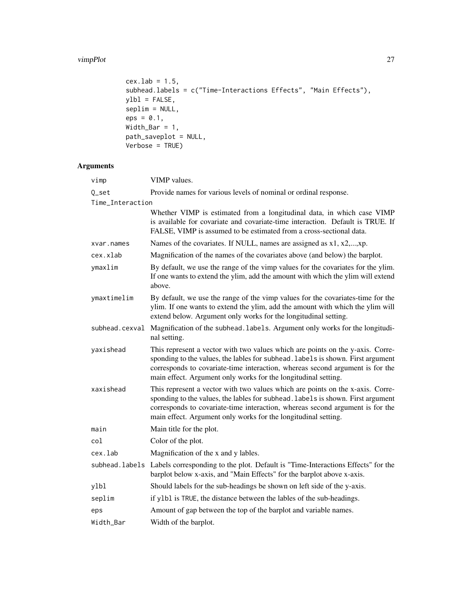# vimpPlot 27

```
cex.1ab = 1.5,
subhead.labels = c("Time-Interactions Effects", "Main Effects"),
ylbl = FALSE,
seplim = NULL,
eps = 0.1,Width_Bar = 1,
path_saveplot = NULL,
Verbose = TRUE)
```
# Arguments

| vimp             | VIMP values.                                                                                                                                                                                                                                                                                                         |  |  |
|------------------|----------------------------------------------------------------------------------------------------------------------------------------------------------------------------------------------------------------------------------------------------------------------------------------------------------------------|--|--|
| Q_set            | Provide names for various levels of nominal or ordinal response.                                                                                                                                                                                                                                                     |  |  |
| Time_Interaction |                                                                                                                                                                                                                                                                                                                      |  |  |
|                  | Whether VIMP is estimated from a longitudinal data, in which case VIMP<br>is available for covariate and covariate-time interaction. Default is TRUE. If<br>FALSE, VIMP is assumed to be estimated from a cross-sectional data.                                                                                      |  |  |
| xvar.names       | Names of the covariates. If NULL, names are assigned as x1, x2,,xp.                                                                                                                                                                                                                                                  |  |  |
| cex.xlab         | Magnification of the names of the covariates above (and below) the barplot.                                                                                                                                                                                                                                          |  |  |
| ymaxlim          | By default, we use the range of the vimp values for the covariates for the ylim.<br>If one wants to extend the ylim, add the amount with which the ylim will extend<br>above.                                                                                                                                        |  |  |
| ymaxtimelim      | By default, we use the range of the vimp values for the covariates-time for the<br>ylim. If one wants to extend the ylim, add the amount with which the ylim will<br>extend below. Argument only works for the longitudinal setting.                                                                                 |  |  |
| subhead.cexval   | Magnification of the subhead. labels. Argument only works for the longitudi-<br>nal setting.                                                                                                                                                                                                                         |  |  |
| yaxishead        | This represent a vector with two values which are points on the y-axis. Corre-<br>sponding to the values, the lables for subhead. labels is shown. First argument<br>corresponds to covariate-time interaction, whereas second argument is for the<br>main effect. Argument only works for the longitudinal setting. |  |  |
| xaxishead        | This represent a vector with two values which are points on the x-axis. Corre-<br>sponding to the values, the lables for subhead. Labels is shown. First argument<br>corresponds to covariate-time interaction, whereas second argument is for the<br>main effect. Argument only works for the longitudinal setting. |  |  |
| main             | Main title for the plot.                                                                                                                                                                                                                                                                                             |  |  |
| col              | Color of the plot.                                                                                                                                                                                                                                                                                                   |  |  |
| cex.lab          | Magnification of the x and y lables.                                                                                                                                                                                                                                                                                 |  |  |
|                  | subhead. labels Labels corresponding to the plot. Default is "Time-Interactions Effects" for the<br>barplot below x-axis, and "Main Effects" for the barplot above x-axis.                                                                                                                                           |  |  |
| ylbl             | Should labels for the sub-headings be shown on left side of the y-axis.                                                                                                                                                                                                                                              |  |  |
| seplim           | if y1b1 is TRUE, the distance between the lables of the sub-headings.                                                                                                                                                                                                                                                |  |  |
| eps              | Amount of gap between the top of the barplot and variable names.                                                                                                                                                                                                                                                     |  |  |
| Width_Bar        | Width of the barplot.                                                                                                                                                                                                                                                                                                |  |  |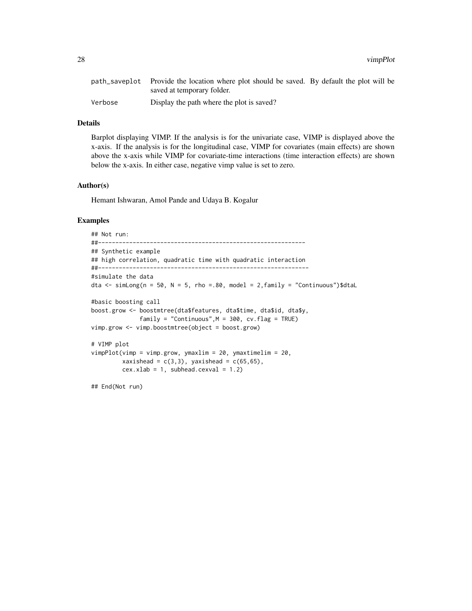28 vimpPlot

|         | path_saveplot Provide the location where plot should be saved. By default the plot will be |  |
|---------|--------------------------------------------------------------------------------------------|--|
|         | saved at temporary folder.                                                                 |  |
| Verbose | Display the path where the plot is saved?                                                  |  |

# Details

Barplot displaying VIMP. If the analysis is for the univariate case, VIMP is displayed above the x-axis. If the analysis is for the longitudinal case, VIMP for covariates (main effects) are shown above the x-axis while VIMP for covariate-time interactions (time interaction effects) are shown below the x-axis. In either case, negative vimp value is set to zero.

# Author(s)

Hemant Ishwaran, Amol Pande and Udaya B. Kogalur

```
## Not run:
##------------------------------------------------------------
## Synthetic example
## high correlation, quadratic time with quadratic interaction
##-------------------------------------------------------------
#simulate the data
dta \le simLong(n = 50, N = 5, rho = 80, model = 2, family = "Continuous")$dtaL
#basic boosting call
boost.grow <- boostmtree(dta$features, dta$time, dta$id, dta$y,
             family = "Continuous",M = 300, cv.flag = TRUE)
vimp.grow <- vimp.boostmtree(object = boost.grow)
# VIMP plot
vimpPlot(vimp = vimp.grow, ymaxlim = 20, ymaxtimelim = 20,
        xaxishead = c(3,3), yaxishead = c(65,65),
        cex.xlab = 1, subhead.cexval = 1.2)
## End(Not run)
```